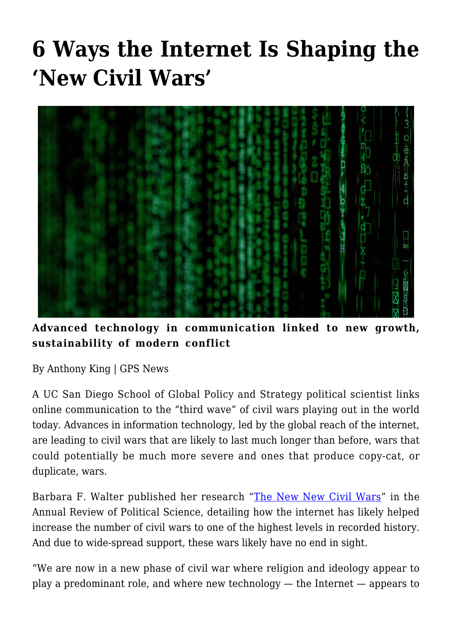# **[6 Ways the Internet Is Shaping the](https://gpsnews.ucsd.edu/6-ways-the-internet-is-shaping-the-new-civil-wars/) ['New Civil Wars'](https://gpsnews.ucsd.edu/6-ways-the-internet-is-shaping-the-new-civil-wars/)**



**Advanced technology in communication linked to new growth, sustainability of modern conflict**

By Anthony King | GPS News

A UC San Diego School of Global Policy and Strategy political scientist links online communication to the "third wave" of civil wars playing out in the world today. Advances in information technology, led by the global reach of the internet, are leading to civil wars that are likely to last much longer than before, wars that could potentially be much more severe and ones that produce copy-cat, or duplicate, wars.

Barbara F. Walter published her research ["The New New Civil Wars](https://doi.org/10.1146/annurev-polisci-060415-093921)" in the Annual Review of Political Science, detailing how the internet has likely helped increase the number of civil wars to one of the highest levels in recorded history. And due to wide-spread support, these wars likely have no end in sight.

"We are now in a new phase of civil war where religion and ideology appear to play a predominant role, and where new technology — the Internet — appears to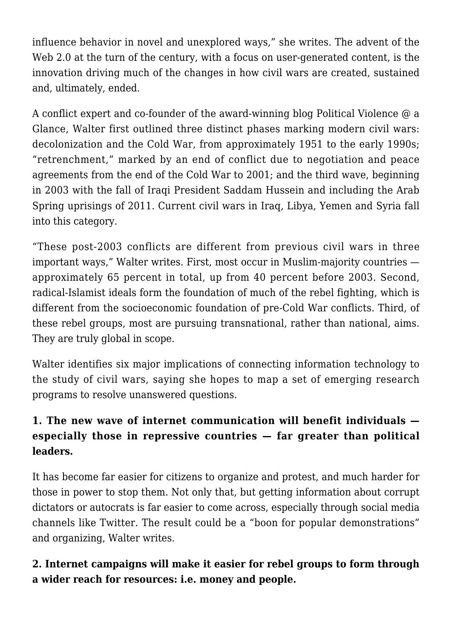influence behavior in novel and unexplored ways," she writes. The advent of the Web 2.0 at the turn of the century, with a focus on user-generated content, is the innovation driving much of the changes in how civil wars are created, sustained and, ultimately, ended.

A conflict expert and co-founder of the award-winning blog Political Violence @ a Glance, Walter first outlined three distinct phases marking modern civil wars: decolonization and the Cold War, from approximately 1951 to the early 1990s; "retrenchment," marked by an end of conflict due to negotiation and peace agreements from the end of the Cold War to 2001; and the third wave, beginning in 2003 with the fall of Iraqi President Saddam Hussein and including the Arab Spring uprisings of 2011. Current civil wars in Iraq, Libya, Yemen and Syria fall into this category.

"These post-2003 conflicts are different from previous civil wars in three important ways," Walter writes. First, most occur in Muslim-majority countries approximately 65 percent in total, up from 40 percent before 2003. Second, radical-Islamist ideals form the foundation of much of the rebel fighting, which is different from the socioeconomic foundation of pre-Cold War conflicts. Third, of these rebel groups, most are pursuing transnational, rather than national, aims. They are truly global in scope.

Walter identifies six major implications of connecting information technology to the study of civil wars, saying she hopes to map a set of emerging research programs to resolve unanswered questions.

## **1. The new wave of internet communication will benefit individuals especially those in repressive countries — far greater than political leaders.**

It has become far easier for citizens to organize and protest, and much harder for those in power to stop them. Not only that, but getting information about corrupt dictators or autocrats is far easier to come across, especially through social media channels like Twitter. The result could be a "boon for popular demonstrations" and organizing, Walter writes.

## **2. Internet campaigns will make it easier for rebel groups to form through a wider reach for resources: i.e. money and people.**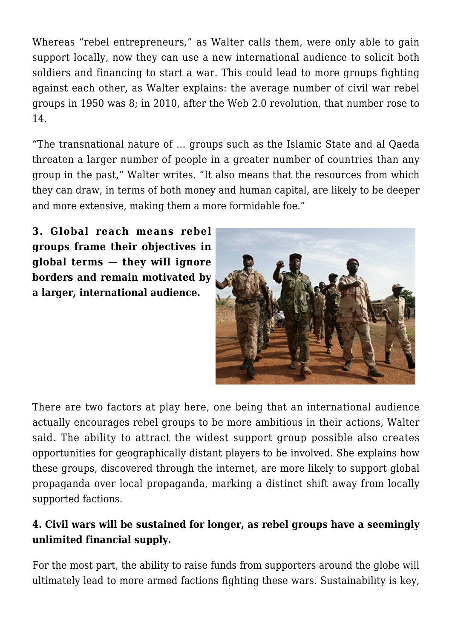Whereas "rebel entrepreneurs," as Walter calls them, were only able to gain support locally, now they can use a new international audience to solicit both soldiers and financing to start a war. This could lead to more groups fighting against each other, as Walter explains: the average number of civil war rebel groups in 1950 was 8; in 2010, after the Web 2.0 revolution, that number rose to 14.

"The transnational nature of … groups such as the Islamic State and al Qaeda threaten a larger number of people in a greater number of countries than any group in the past," Walter writes. "It also means that the resources from which they can draw, in terms of both money and human capital, are likely to be deeper and more extensive, making them a more formidable foe."

**3. Global reach means rebel groups frame their objectives in global terms — they will ignore borders and remain motivated by a larger, international audience.**



There are two factors at play here, one being that an international audience actually encourages rebel groups to be more ambitious in their actions, Walter said. The ability to attract the widest support group possible also creates opportunities for geographically distant players to be involved. She explains how these groups, discovered through the internet, are more likely to support global propaganda over local propaganda, marking a distinct shift away from locally supported factions.

#### **4. Civil wars will be sustained for longer, as rebel groups have a seemingly unlimited financial supply.**

For the most part, the ability to raise funds from supporters around the globe will ultimately lead to more armed factions fighting these wars. Sustainability is key,